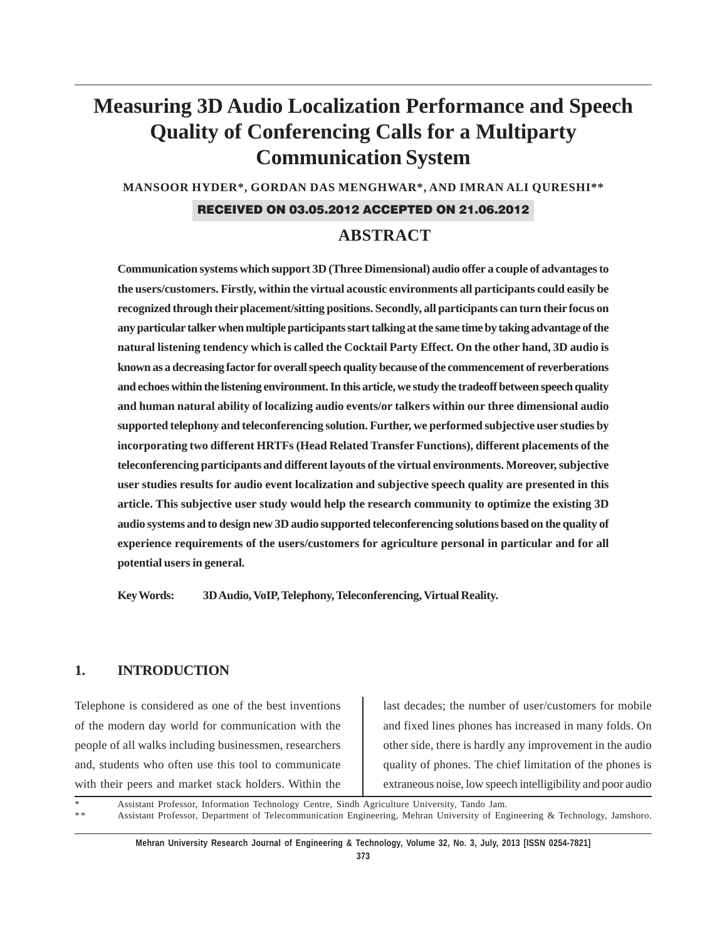# **Measuring 3D Audio Localization Performance and Speech Quality of Conferencing Calls for a Multiparty Communication System**

**MANSOOR HYDER\*, GORDAN DAS MENGHWAR\*, AND IMRAN ALI QURESHI\*\***

### RECEIVED ON 03.05.2012 ACCEPTED ON 21.06.2012

# **ABSTRACT**

**Communication systems which support 3D (Three Dimensional) audio offer a couple of advantages to the users/customers. Firstly, within the virtual acoustic environments all participants could easily be recognized through their placement/sitting positions. Secondly, all participants can turn their focus on any particular talker when multiple participants start talking at the same time by taking advantage of the natural listening tendency which is called the Cocktail Party Effect. On the other hand, 3D audio is known as a decreasing factor for overall speech quality because of the commencement of reverberations and echoes within the listening environment. In this article, we study the tradeoff between speech quality and human natural ability of localizing audio events/or talkers within our three dimensional audio supported telephony and teleconferencing solution. Further, we performed subjective user studies by incorporating two different HRTFs (Head Related Transfer Functions), different placements of the teleconferencing participants and different layouts of the virtual environments. Moreover, subjective user studies results for audio event localization and subjective speech quality are presented in this article. This subjective user study would help the research community to optimize the existing 3D audio systems and to design new 3D audio supported teleconferencing solutions based on the quality of experience requirements of the users/customers for agriculture personal in particular and for all potential users in general.**

**Key Words: 3D Audio, VoIP, Telephony, Teleconferencing, Virtual Reality.**

### **1. INTRODUCTION**

Telephone is considered as one of the best inventions of the modern day world for communication with the people of all walks including businessmen, researchers and, students who often use this tool to communicate with their peers and market stack holders. Within the last decades; the number of user/customers for mobile and fixed lines phones has increased in many folds. On other side, there is hardly any improvement in the audio quality of phones. The chief limitation of the phones is extraneous noise, low speech intelligibility and poor audio

Assistant Professor, Information Technology Centre, Sindh Agriculture University, Tando Jam. \* \* Assistant Professor, Department of Telecommunication Engineering, Mehran University of Engineering & Technology, Jamshoro.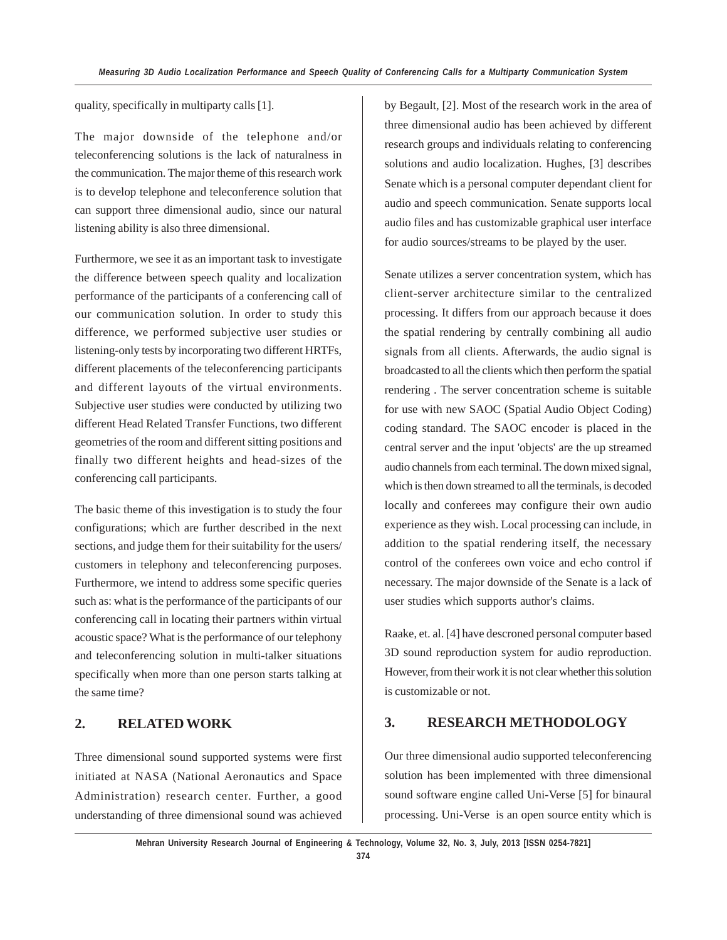quality, specifically in multiparty calls [1].

The major downside of the telephone and/or teleconferencing solutions is the lack of naturalness in the communication. The major theme of this research work is to develop telephone and teleconference solution that can support three dimensional audio, since our natural listening ability is also three dimensional.

Furthermore, we see it as an important task to investigate the difference between speech quality and localization performance of the participants of a conferencing call of our communication solution. In order to study this difference, we performed subjective user studies or listening-only tests by incorporating two different HRTFs, different placements of the teleconferencing participants and different layouts of the virtual environments. Subjective user studies were conducted by utilizing two different Head Related Transfer Functions, two different geometries of the room and different sitting positions and finally two different heights and head-sizes of the conferencing call participants.

The basic theme of this investigation is to study the four configurations; which are further described in the next sections, and judge them for their suitability for the users/ customers in telephony and teleconferencing purposes. Furthermore, we intend to address some specific queries such as: what is the performance of the participants of our conferencing call in locating their partners within virtual acoustic space? What is the performance of our telephony and teleconferencing solution in multi-talker situations specifically when more than one person starts talking at the same time?

### **2. RELATED WORK**

Three dimensional sound supported systems were first initiated at NASA (National Aeronautics and Space Administration) research center. Further, a good understanding of three dimensional sound was achieved by Begault, [2]. Most of the research work in the area of three dimensional audio has been achieved by different research groups and individuals relating to conferencing solutions and audio localization. Hughes, [3] describes Senate which is a personal computer dependant client for audio and speech communication. Senate supports local audio files and has customizable graphical user interface for audio sources/streams to be played by the user.

Senate utilizes a server concentration system, which has client-server architecture similar to the centralized processing. It differs from our approach because it does the spatial rendering by centrally combining all audio signals from all clients. Afterwards, the audio signal is broadcasted to all the clients which then perform the spatial rendering . The server concentration scheme is suitable for use with new SAOC (Spatial Audio Object Coding) coding standard. The SAOC encoder is placed in the central server and the input 'objects' are the up streamed audio channels from each terminal. The down mixed signal, which is then down streamed to all the terminals, is decoded locally and conferees may configure their own audio experience as they wish. Local processing can include, in addition to the spatial rendering itself, the necessary control of the conferees own voice and echo control if necessary. The major downside of the Senate is a lack of user studies which supports author's claims.

Raake, et. al. [4] have descroned personal computer based 3D sound reproduction system for audio reproduction. However, from their work it is not clear whether this solution is customizable or not.

### **3. RESEARCH METHODOLOGY**

Our three dimensional audio supported teleconferencing solution has been implemented with three dimensional sound software engine called Uni-Verse [5] for binaural processing. Uni-Verse is an open source entity which is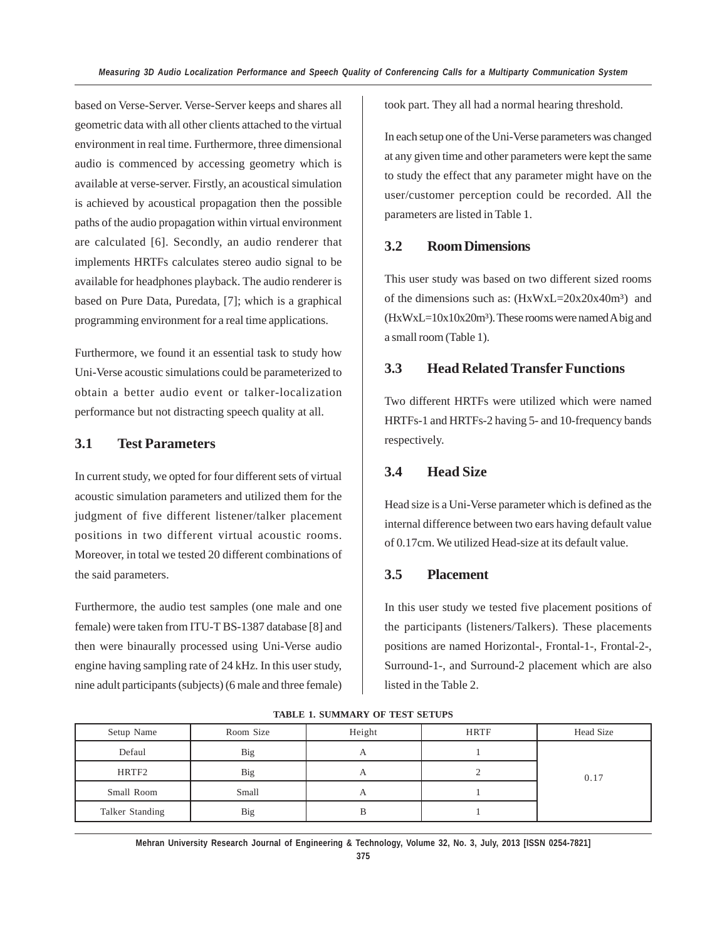based on Verse-Server. Verse-Server keeps and shares all geometric data with all other clients attached to the virtual environment in real time. Furthermore, three dimensional audio is commenced by accessing geometry which is available at verse-server. Firstly, an acoustical simulation is achieved by acoustical propagation then the possible paths of the audio propagation within virtual environment are calculated [6]. Secondly, an audio renderer that implements HRTFs calculates stereo audio signal to be available for headphones playback. The audio renderer is based on Pure Data, Puredata, [7]; which is a graphical programming environment for a real time applications.

Furthermore, we found it an essential task to study how Uni-Verse acoustic simulations could be parameterized to obtain a better audio event or talker-localization performance but not distracting speech quality at all.

# **3.1 Test Parameters**

In current study, we opted for four different sets of virtual acoustic simulation parameters and utilized them for the judgment of five different listener/talker placement positions in two different virtual acoustic rooms. Moreover, in total we tested 20 different combinations of the said parameters.

Furthermore, the audio test samples (one male and one female) were taken from ITU-T BS-1387 database [8] and then were binaurally processed using Uni-Verse audio engine having sampling rate of 24 kHz. In this user study, nine adult participants (subjects) (6 male and three female)

took part. They all had a normal hearing threshold.

In each setup one of the Uni-Verse parameters was changed at any given time and other parameters were kept the same to study the effect that any parameter might have on the user/customer perception could be recorded. All the parameters are listed in Table 1.

### **3.2 Room Dimensions**

This user study was based on two different sized rooms of the dimensions such as:  $(HxWxL=20x20x40m^3)$  and  $(HxWxL=10x10x20m<sup>3</sup>)$ . These rooms were named A big and a small room (Table 1).

### **3.3 Head Related Transfer Functions**

Two different HRTFs were utilized which were named HRTFs-1 and HRTFs-2 having 5- and 10-frequency bands respectively.

### **3.4 Head Size**

Head size is a Uni-Verse parameter which is defined as the internal difference between two ears having default value of 0.17cm. We utilized Head-size at its default value.

### **3.5 Placement**

In this user study we tested five placement positions of the participants (listeners/Talkers). These placements positions are named Horizontal-, Frontal-1-, Frontal-2-, Surround-1-, and Surround-2 placement which are also listed in the Table 2.

| Setup Name      | Room Size | Height | <b>HRTF</b> | <b>Head Size</b> |
|-----------------|-----------|--------|-------------|------------------|
| Defaul          | Big       |        |             | 0.17             |
| HRTF2           | Big       |        |             |                  |
| Small Room      | Small     |        |             |                  |
| Talker Standing | Big       |        |             |                  |

**TABLE 1. SUMMARY OF TEST SETUPS**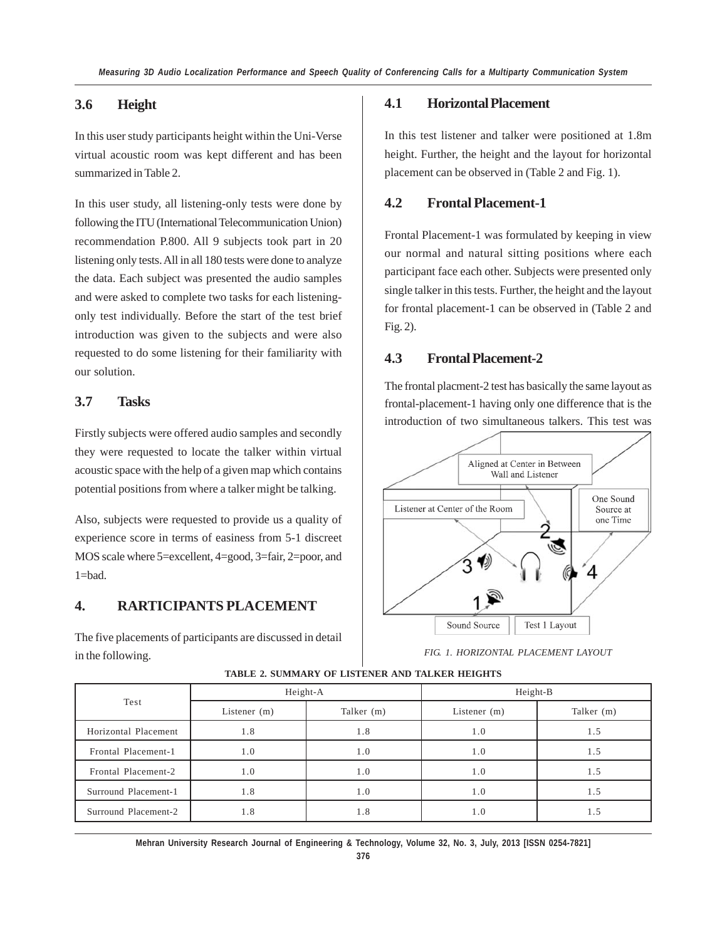### **3.6 Height**

In this user study participants height within the Uni-Verse virtual acoustic room was kept different and has been summarized in Table 2.

In this user study, all listening-only tests were done by following the ITU (International Telecommunication Union) recommendation P.800. All 9 subjects took part in 20 listening only tests. All in all 180 tests were done to analyze the data. Each subject was presented the audio samples and were asked to complete two tasks for each listeningonly test individually. Before the start of the test brief introduction was given to the subjects and were also requested to do some listening for their familiarity with our solution.

# **3.7 Tasks**

Firstly subjects were offered audio samples and secondly they were requested to locate the talker within virtual acoustic space with the help of a given map which contains potential positions from where a talker might be talking.

Also, subjects were requested to provide us a quality of experience score in terms of easiness from 5-1 discreet MOS scale where 5=excellent, 4=good, 3=fair, 2=poor, and 1=bad.

# **4. RARTICIPANTS PLACEMENT**

The five placements of participants are discussed in detail in the following.

### **4.1 Horizontal Placement**

In this test listener and talker were positioned at 1.8m height. Further, the height and the layout for horizontal placement can be observed in (Table 2 and Fig. 1).

### **4.2 Frontal Placement-1**

Frontal Placement-1 was formulated by keeping in view our normal and natural sitting positions where each participant face each other. Subjects were presented only single talker in this tests. Further, the height and the layout for frontal placement-1 can be observed in (Table 2 and Fig. 2).

### **4.3 Frontal Placement-2**

The frontal placment-2 test has basically the same layout as frontal-placement-1 having only one difference that is the introduction of two simultaneous talkers. This test was



*FIG. 1. HORIZONTAL PLACEMENT LAYOUT*

| Test                 | Height-A       |            | Height-B       |            |
|----------------------|----------------|------------|----------------|------------|
|                      | Listener $(m)$ | Talker (m) | Listener $(m)$ | Talker (m) |
| Horizontal Placement | 1.8            | 1.8        | 1.0            | 1.5        |
| Frontal Placement-1  | 1.0            | 1.0        | 1.0            | 1.5        |
| Frontal Placement-2  | 1.0            | 1.0        | 1.0            | 1.5        |
| Surround Placement-1 | 1.8            | 1.0        | 1.0            | 1.5        |
| Surround Placement-2 | 1.8            | 1.8        | 1.0            | 1.5        |

#### **TABLE 2. SUMMARY OF LISTENER AND TALKER HEIGHTS**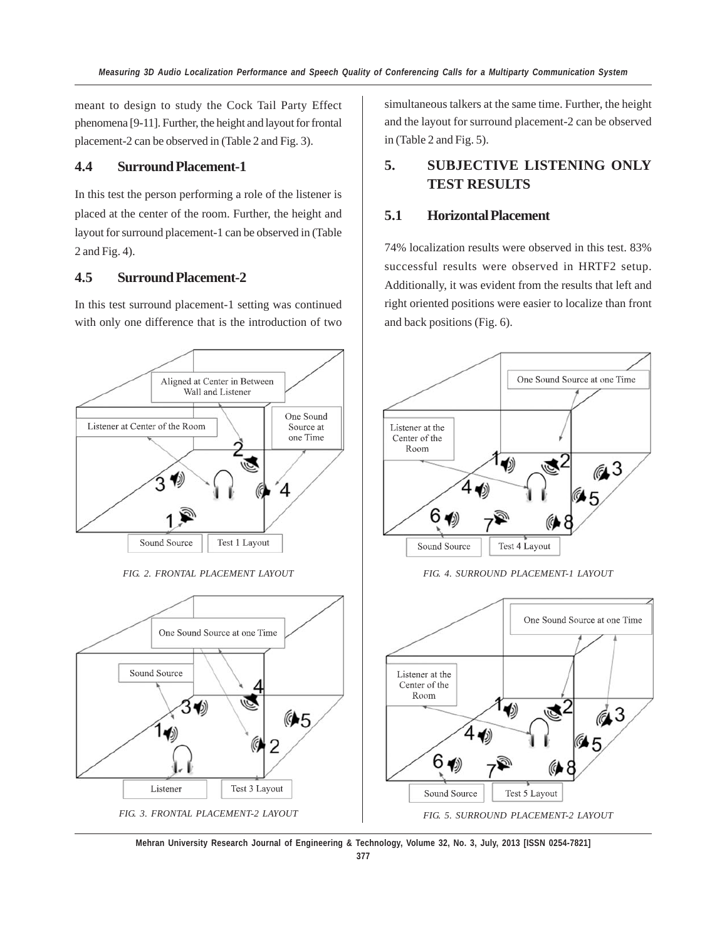meant to design to study the Cock Tail Party Effect phenomena [9-11]. Further, the height and layout for frontal placement-2 can be observed in (Table 2 and Fig. 3).

### **4.4 Surround Placement-1**

In this test the person performing a role of the listener is placed at the center of the room. Further, the height and layout for surround placement-1 can be observed in (Table 2 and Fig. 4).

### **4.5 Surround Placement-2**

In this test surround placement-1 setting was continued with only one difference that is the introduction of two



*FIG. 2. FRONTAL PLACEMENT LAYOUT*



simultaneous talkers at the same time. Further, the height and the layout for surround placement-2 can be observed in (Table 2 and Fig. 5).

# **5. SUBJECTIVE LISTENING ONLY TEST RESULTS**

### **5.1 Horizontal Placement**

74% localization results were observed in this test. 83% successful results were observed in HRTF2 setup. Additionally, it was evident from the results that left and right oriented positions were easier to localize than front and back positions (Fig. 6).



*FIG. 4. SURROUND PLACEMENT-1 LAYOUT*

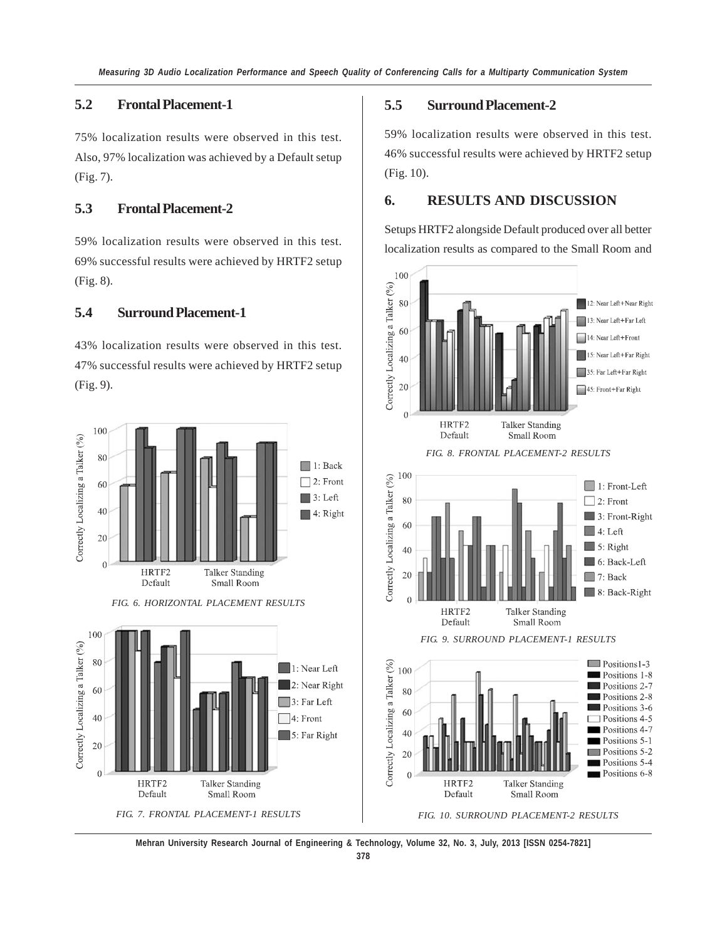# **5.2 Frontal Placement-1**

75% localization results were observed in this test. Also, 97% localization was achieved by a Default setup (Fig. 7).

# **5.3 Frontal Placement-2**

59% localization results were observed in this test. 69% successful results were achieved by HRTF2 setup (Fig. 8).

### **5.4 Surround Placement-1**

43% localization results were observed in this test. 47% successful results were achieved by HRTF2 setup (Fig. 9).







# **5.5 Surround Placement-2**

59% localization results were observed in this test. 46% successful results were achieved by HRTF2 setup (Fig. 10).

### **6. RESULTS AND DISCUSSION**

Setups HRTF2 alongside Default produced over all better localization results as compared to the Small Room and



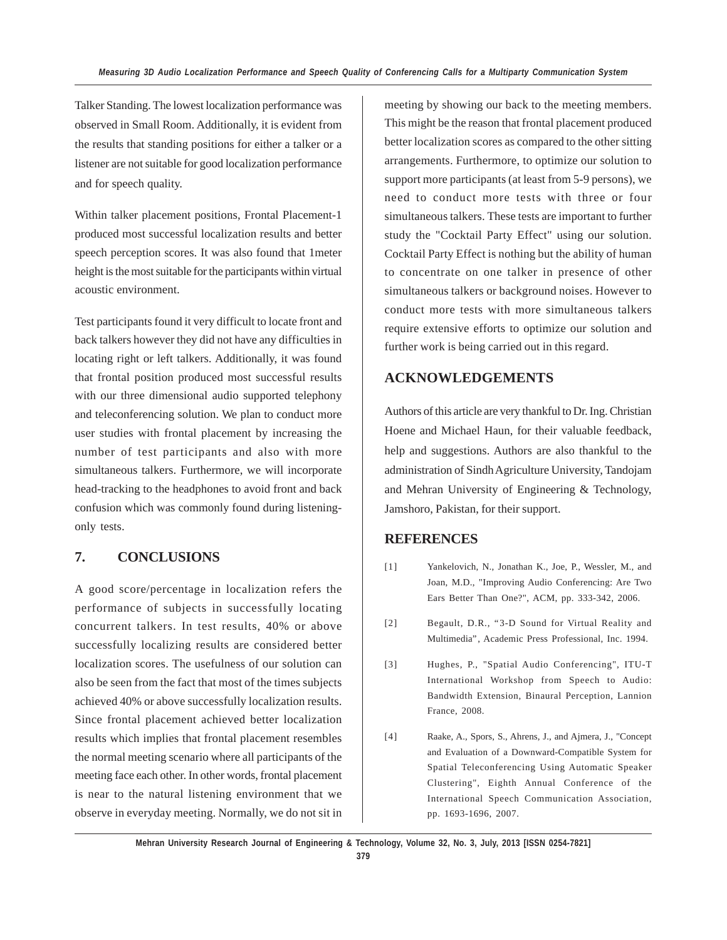Talker Standing. The lowest localization performance was observed in Small Room. Additionally, it is evident from the results that standing positions for either a talker or a listener are not suitable for good localization performance and for speech quality.

Within talker placement positions, Frontal Placement-1 produced most successful localization results and better speech perception scores. It was also found that 1meter height is the most suitable for the participants within virtual acoustic environment.

Test participants found it very difficult to locate front and back talkers however they did not have any difficulties in locating right or left talkers. Additionally, it was found that frontal position produced most successful results with our three dimensional audio supported telephony and teleconferencing solution. We plan to conduct more user studies with frontal placement by increasing the number of test participants and also with more simultaneous talkers. Furthermore, we will incorporate head-tracking to the headphones to avoid front and back confusion which was commonly found during listeningonly tests.

# **7. CONCLUSIONS**

A good score/percentage in localization refers the performance of subjects in successfully locating concurrent talkers. In test results, 40% or above successfully localizing results are considered better localization scores. The usefulness of our solution can also be seen from the fact that most of the times subjects achieved 40% or above successfully localization results. Since frontal placement achieved better localization results which implies that frontal placement resembles the normal meeting scenario where all participants of the meeting face each other. In other words, frontal placement is near to the natural listening environment that we observe in everyday meeting. Normally, we do not sit in meeting by showing our back to the meeting members. This might be the reason that frontal placement produced better localization scores as compared to the other sitting arrangements. Furthermore, to optimize our solution to support more participants (at least from 5-9 persons), we need to conduct more tests with three or four simultaneous talkers. These tests are important to further study the "Cocktail Party Effect" using our solution. Cocktail Party Effect is nothing but the ability of human to concentrate on one talker in presence of other simultaneous talkers or background noises. However to conduct more tests with more simultaneous talkers require extensive efforts to optimize our solution and further work is being carried out in this regard.

## **ACKNOWLEDGEMENTS**

Authors of this article are very thankful to Dr. Ing. Christian Hoene and Michael Haun, for their valuable feedback, help and suggestions. Authors are also thankful to the administration of Sindh Agriculture University, Tandojam and Mehran University of Engineering & Technology, Jamshoro, Pakistan, for their support.

### **REFERENCES**

- [1] Yankelovich, N., Jonathan K., Joe, P., Wessler, M., and Joan, M.D., "Improving Audio Conferencing: Are Two Ears Better Than One?", ACM, pp. 333-342, 2006.
- [2] Begault, D.R., "3-D Sound for Virtual Reality and Multimedia", Academic Press Professional, Inc. 1994.
- [3] Hughes, P., "Spatial Audio Conferencing", ITU-T International Workshop from Speech to Audio: Bandwidth Extension, Binaural Perception, Lannion France, 2008.
- [4] Raake, A., Spors, S., Ahrens, J., and Ajmera, J., "Concept and Evaluation of a Downward-Compatible System for Spatial Teleconferencing Using Automatic Speaker Clustering", Eighth Annual Conference of the International Speech Communication Association, pp. 1693-1696, 2007.